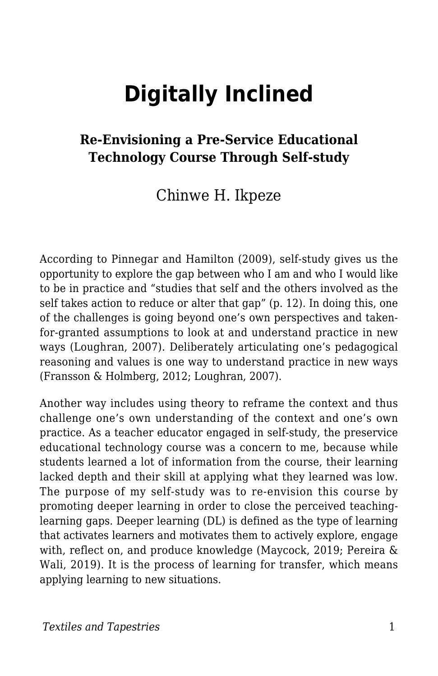# **Digitally Inclined**

#### **Re-Envisioning a Pre-Service Educational Technology Course Through Self-study**

#### Chinwe H. Ikpeze

According to Pinnegar and Hamilton (2009), self-study gives us the opportunity to explore the gap between who I am and who I would like to be in practice and "studies that self and the others involved as the self takes action to reduce or alter that gap" (p. 12). In doing this, one of the challenges is going beyond one's own perspectives and takenfor-granted assumptions to look at and understand practice in new ways (Loughran, 2007). Deliberately articulating one's pedagogical reasoning and values is one way to understand practice in new ways (Fransson & Holmberg, 2012; Loughran, 2007).

Another way includes using theory to reframe the context and thus challenge one's own understanding of the context and one's own practice. As a teacher educator engaged in self-study, the preservice educational technology course was a concern to me, because while students learned a lot of information from the course, their learning lacked depth and their skill at applying what they learned was low. The purpose of my self-study was to re-envision this course by promoting deeper learning in order to close the perceived teachinglearning gaps. Deeper learning (DL) is defined as the type of learning that activates learners and motivates them to actively explore, engage with, reflect on, and produce knowledge (Maycock, 2019; Pereira & Wali, 2019). It is the process of learning for transfer, which means applying learning to new situations.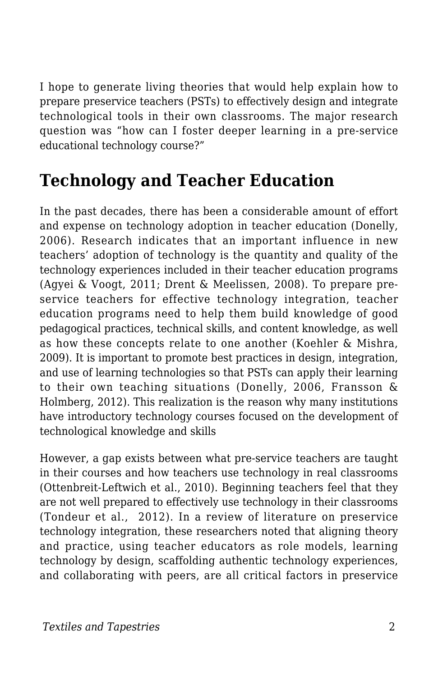I hope to generate living theories that would help explain how to prepare preservice teachers (PSTs) to effectively design and integrate technological tools in their own classrooms. The major research question was "how can I foster deeper learning in a pre-service educational technology course?"

# **Technology and Teacher Education**

In the past decades, there has been a considerable amount of effort and expense on technology adoption in teacher education (Donelly, 2006). Research indicates that an important influence in new teachers' adoption of technology is the quantity and quality of the technology experiences included in their teacher education programs (Agyei & Voogt, 2011; Drent & Meelissen, 2008). To prepare preservice teachers for effective technology integration, teacher education programs need to help them build knowledge of good pedagogical practices, technical skills, and content knowledge, as well as how these concepts relate to one another (Koehler & Mishra, 2009). It is important to promote best practices in design, integration, and use of learning technologies so that PSTs can apply their learning to their own teaching situations (Donelly, 2006, Fransson & Holmberg, 2012). This realization is the reason why many institutions have introductory technology courses focused on the development of technological knowledge and skills

However, a gap exists between what pre-service teachers are taught in their courses and how teachers use technology in real classrooms (Ottenbreit-Leftwich et al., 2010). Beginning teachers feel that they are not well prepared to effectively use technology in their classrooms (Tondeur et al., 2012). In a review of literature on preservice technology integration, these researchers noted that aligning theory and practice, using teacher educators as role models, learning technology by design, scaffolding authentic technology experiences, and collaborating with peers, are all critical factors in preservice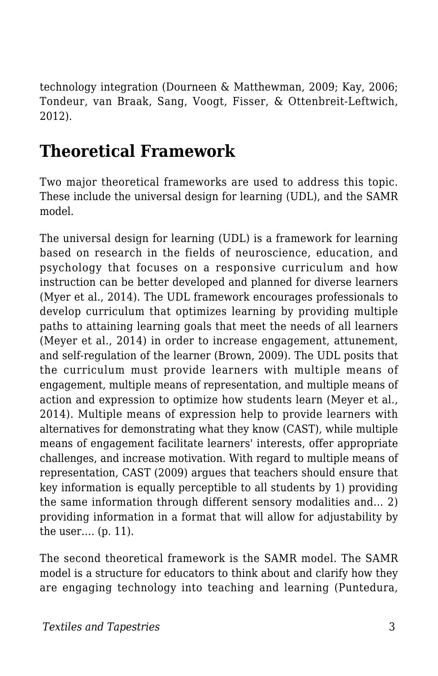technology integration (Dourneen & Matthewman, 2009; Kay, 2006; Tondeur, van Braak, Sang, Voogt, Fisser, & Ottenbreit-Leftwich, 2012).

## **Theoretical Framework**

Two major theoretical frameworks are used to address this topic. These include the universal design for learning (UDL), and the SAMR model.

The universal design for learning (UDL) is a framework for learning based on research in the fields of neuroscience, education, and psychology that focuses on a responsive curriculum and how instruction can be better developed and planned for diverse learners (Myer et al., 2014). The UDL framework encourages professionals to develop curriculum that optimizes learning by providing multiple paths to attaining learning goals that meet the needs of all learners (Meyer et al., 2014) in order to increase engagement, attunement, and self-regulation of the learner (Brown, 2009). The UDL posits that the curriculum must provide learners with multiple means of engagement, multiple means of representation, and multiple means of action and expression to optimize how students learn (Meyer et al., 2014). Multiple means of expression help to provide learners with alternatives for demonstrating what they know (CAST), while multiple means of engagement facilitate learners' interests, offer appropriate challenges, and increase motivation. With regard to multiple means of representation, CAST (2009) argues that teachers should ensure that key information is equally perceptible to all students by 1) providing the same information through different sensory modalities and… 2) providing information in a format that will allow for adjustability by the user…. (p. 11).

The second theoretical framework is the SAMR model. The SAMR model is a structure for educators to think about and clarify how they are engaging technology into teaching and learning (Puntedura,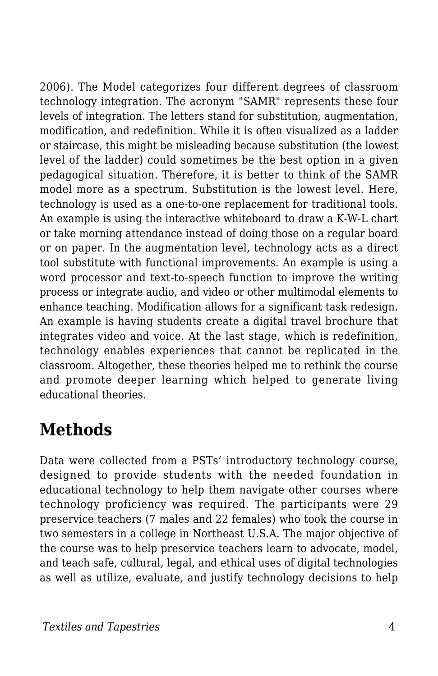2006). The Model categorizes four different degrees of classroom technology integration. The acronym "SAMR" represents these four levels of integration. The letters stand for substitution, augmentation, modification, and redefinition. While it is often visualized as a ladder or staircase, this might be misleading because substitution (the lowest level of the ladder) could sometimes be the best option in a given pedagogical situation. Therefore, it is better to think of the SAMR model more as a spectrum. Substitution is the lowest level. Here, technology is used as a one-to-one replacement for traditional tools. An example is using the interactive whiteboard to draw a K-W-L chart or take morning attendance instead of doing those on a regular board or on paper. In the augmentation level, technology acts as a direct tool substitute with functional improvements. An example is using a word processor and text-to-speech function to improve the writing process or integrate audio, and video or other multimodal elements to enhance teaching. Modification allows for a significant task redesign. An example is having students create a digital travel brochure that integrates video and voice. At the last stage, which is redefinition, technology enables experiences that cannot be replicated in the classroom. Altogether, these theories helped me to rethink the course and promote deeper learning which helped to generate living educational theories.

### **Methods**

Data were collected from a PSTs' introductory technology course, designed to provide students with the needed foundation in educational technology to help them navigate other courses where technology proficiency was required. The participants were 29 preservice teachers (7 males and 22 females) who took the course in two semesters in a college in Northeast U.S.A. The major objective of the course was to help preservice teachers learn to advocate, model, and teach safe, cultural, legal, and ethical uses of digital technologies as well as utilize, evaluate, and justify technology decisions to help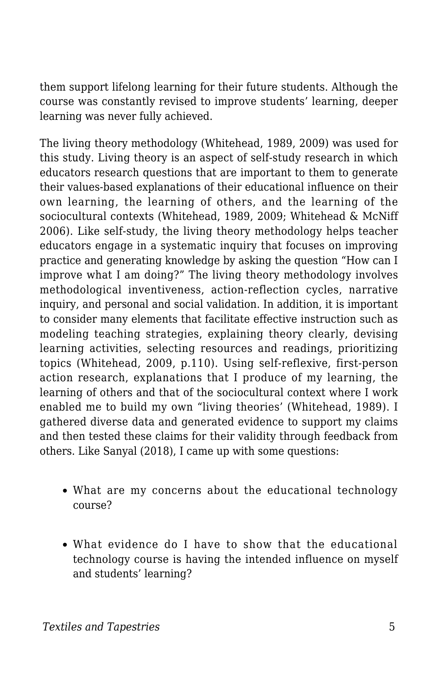them support lifelong learning for their future students. Although the course was constantly revised to improve students' learning, deeper learning was never fully achieved.

The living theory methodology (Whitehead, 1989, 2009) was used for this study. Living theory is an aspect of self-study research in which educators research questions that are important to them to generate their values-based explanations of their educational influence on their own learning, the learning of others, and the learning of the sociocultural contexts (Whitehead, 1989, 2009; Whitehead & McNiff 2006). Like self-study, the living theory methodology helps teacher educators engage in a systematic inquiry that focuses on improving practice and generating knowledge by asking the question "How can I improve what I am doing?" The living theory methodology involves methodological inventiveness, action-reflection cycles, narrative inquiry, and personal and social validation. In addition, it is important to consider many elements that facilitate effective instruction such as modeling teaching strategies, explaining theory clearly, devising learning activities, selecting resources and readings, prioritizing topics (Whitehead, 2009, p.110). Using self-reflexive, first-person action research, explanations that I produce of my learning, the learning of others and that of the sociocultural context where I work enabled me to build my own "living theories' (Whitehead, 1989). I gathered diverse data and generated evidence to support my claims and then tested these claims for their validity through feedback from others. Like Sanyal (2018), I came up with some questions:

- What are my concerns about the educational technology course?
- What evidence do I have to show that the educational technology course is having the intended influence on myself and students' learning?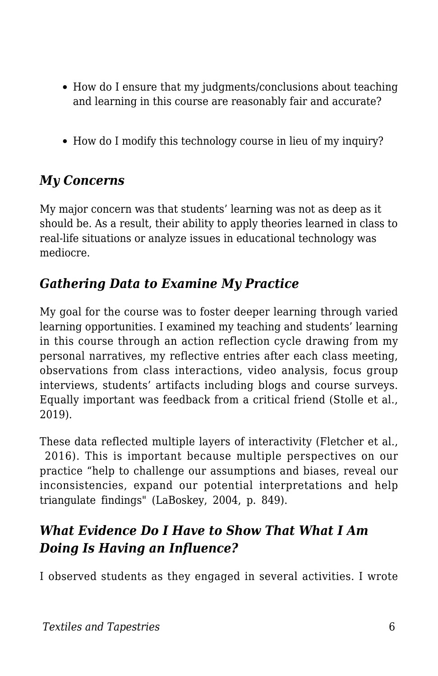- How do I ensure that my judgments/conclusions about teaching and learning in this course are reasonably fair and accurate?
- How do I modify this technology course in lieu of my inquiry?

#### *My Concerns*

My major concern was that students' learning was not as deep as it should be. As a result, their ability to apply theories learned in class to real-life situations or analyze issues in educational technology was mediocre.

#### *Gathering Data to Examine My Practice*

My goal for the course was to foster deeper learning through varied learning opportunities. I examined my teaching and students' learning in this course through an action reflection cycle drawing from my personal narratives, my reflective entries after each class meeting, observations from class interactions, video analysis, focus group interviews, students' artifacts including blogs and course surveys. Equally important was feedback from a critical friend (Stolle et al., 2019).

These data reflected multiple layers of interactivity (Fletcher et al., 2016). This is important because multiple perspectives on our practice "help to challenge our assumptions and biases, reveal our inconsistencies, expand our potential interpretations and help triangulate findings" (LaBoskey, 2004, p. 849).

#### *What Evidence Do I Have to Show That What I Am Doing Is Having an Influence?*

I observed students as they engaged in several activities. I wrote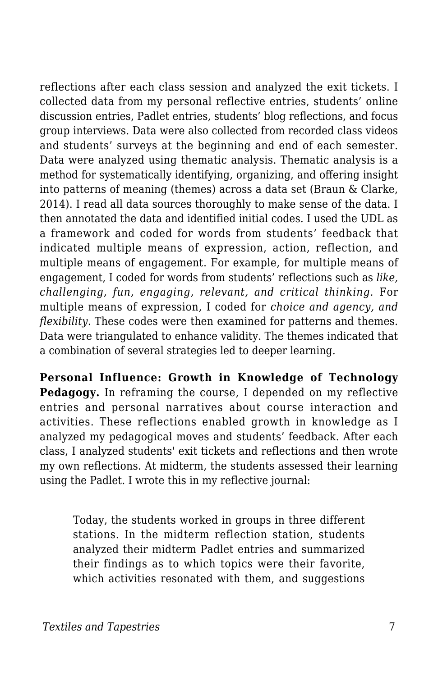reflections after each class session and analyzed the exit tickets. I collected data from my personal reflective entries, students' online discussion entries, Padlet entries, students' blog reflections, and focus group interviews. Data were also collected from recorded class videos and students' surveys at the beginning and end of each semester. Data were analyzed using thematic analysis. Thematic analysis is a method for systematically identifying, organizing, and offering insight into patterns of meaning (themes) across a data set (Braun & Clarke, 2014). I read all data sources thoroughly to make sense of the data. I then annotated the data and identified initial codes. I used the UDL as a framework and coded for words from students' feedback that indicated multiple means of expression, action, reflection, and multiple means of engagement. For example, for multiple means of engagement, I coded for words from students' reflections such as *like, challenging, fun, engaging, relevant, and critical thinking.* For multiple means of expression, I coded for *choice and agency, and flexibility*. These codes were then examined for patterns and themes. Data were triangulated to enhance validity. The themes indicated that a combination of several strategies led to deeper learning.

**Personal Influence: Growth in Knowledge of Technology Pedagogy.** In reframing the course, I depended on my reflective entries and personal narratives about course interaction and activities. These reflections enabled growth in knowledge as I analyzed my pedagogical moves and students' feedback. After each class, I analyzed students' exit tickets and reflections and then wrote my own reflections. At midterm, the students assessed their learning using the Padlet. I wrote this in my reflective journal:

Today, the students worked in groups in three different stations. In the midterm reflection station, students analyzed their midterm Padlet entries and summarized their findings as to which topics were their favorite, which activities resonated with them, and suggestions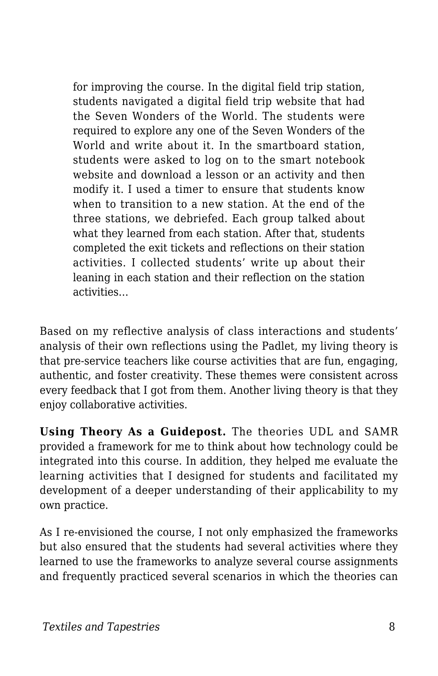for improving the course. In the digital field trip station, students navigated a digital field trip website that had the Seven Wonders of the World. The students were required to explore any one of the Seven Wonders of the World and write about it. In the smartboard station, students were asked to log on to the smart notebook website and download a lesson or an activity and then modify it. I used a timer to ensure that students know when to transition to a new station. At the end of the three stations, we debriefed. Each group talked about what they learned from each station. After that, students completed the exit tickets and reflections on their station activities. I collected students' write up about their leaning in each station and their reflection on the station activities…

Based on my reflective analysis of class interactions and students' analysis of their own reflections using the Padlet, my living theory is that pre-service teachers like course activities that are fun, engaging, authentic, and foster creativity. These themes were consistent across every feedback that I got from them. Another living theory is that they enjoy collaborative activities.

**Using Theory As a Guidepost.** The theories UDL and SAMR provided a framework for me to think about how technology could be integrated into this course. In addition, they helped me evaluate the learning activities that I designed for students and facilitated my development of a deeper understanding of their applicability to my own practice.

As I re-envisioned the course, I not only emphasized the frameworks but also ensured that the students had several activities where they learned to use the frameworks to analyze several course assignments and frequently practiced several scenarios in which the theories can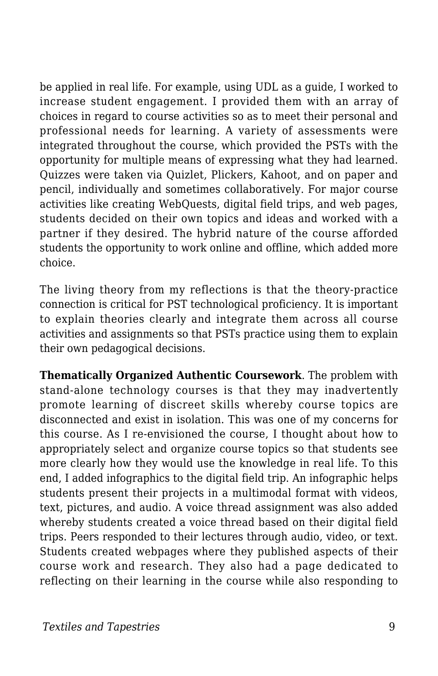be applied in real life. For example, using UDL as a guide, I worked to increase student engagement. I provided them with an array of choices in regard to course activities so as to meet their personal and professional needs for learning. A variety of assessments were integrated throughout the course, which provided the PSTs with the opportunity for multiple means of expressing what they had learned. Quizzes were taken via Quizlet, Plickers, Kahoot, and on paper and pencil, individually and sometimes collaboratively. For major course activities like creating WebQuests, digital field trips, and web pages, students decided on their own topics and ideas and worked with a partner if they desired. The hybrid nature of the course afforded students the opportunity to work online and offline, which added more choice.

The living theory from my reflections is that the theory-practice connection is critical for PST technological proficiency. It is important to explain theories clearly and integrate them across all course activities and assignments so that PSTs practice using them to explain their own pedagogical decisions.

**Thematically Organized Authentic Coursework**. The problem with stand-alone technology courses is that they may inadvertently promote learning of discreet skills whereby course topics are disconnected and exist in isolation. This was one of my concerns for this course. As I re-envisioned the course, I thought about how to appropriately select and organize course topics so that students see more clearly how they would use the knowledge in real life. To this end, I added infographics to the digital field trip. An infographic helps students present their projects in a multimodal format with videos, text, pictures, and audio. A voice thread assignment was also added whereby students created a voice thread based on their digital field trips. Peers responded to their lectures through audio, video, or text. Students created webpages where they published aspects of their course work and research. They also had a page dedicated to reflecting on their learning in the course while also responding to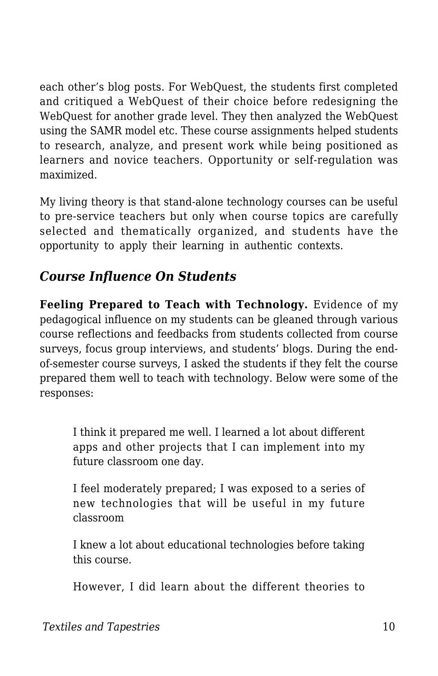each other's blog posts. For WebQuest, the students first completed and critiqued a WebQuest of their choice before redesigning the WebQuest for another grade level. They then analyzed the WebQuest using the SAMR model etc. These course assignments helped students to research, analyze, and present work while being positioned as learners and novice teachers. Opportunity or self-regulation was maximized.

My living theory is that stand-alone technology courses can be useful to pre-service teachers but only when course topics are carefully selected and thematically organized, and students have the opportunity to apply their learning in authentic contexts.

#### *Course Influence On Students*

**Feeling Prepared to Teach with Technology.** Evidence of my pedagogical influence on my students can be gleaned through various course reflections and feedbacks from students collected from course surveys, focus group interviews, and students' blogs. During the endof-semester course surveys, I asked the students if they felt the course prepared them well to teach with technology. Below were some of the responses:

I think it prepared me well. I learned a lot about different apps and other projects that I can implement into my future classroom one day.

I feel moderately prepared; I was exposed to a series of new technologies that will be useful in my future classroom

I knew a lot about educational technologies before taking this course.

However, I did learn about the different theories to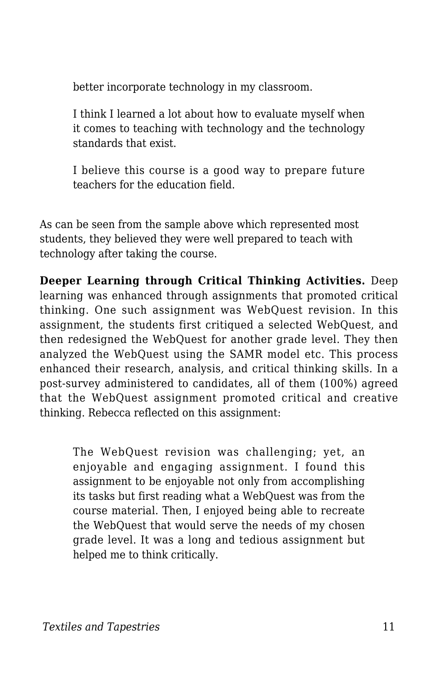better incorporate technology in my classroom.

I think I learned a lot about how to evaluate myself when it comes to teaching with technology and the technology standards that exist.

I believe this course is a good way to prepare future teachers for the education field.

As can be seen from the sample above which represented most students, they believed they were well prepared to teach with technology after taking the course.

**Deeper Learning through Critical Thinking Activities.** Deep learning was enhanced through assignments that promoted critical thinking. One such assignment was WebQuest revision. In this assignment, the students first critiqued a selected WebQuest, and then redesigned the WebQuest for another grade level. They then analyzed the WebQuest using the SAMR model etc. This process enhanced their research, analysis, and critical thinking skills. In a post-survey administered to candidates, all of them (100%) agreed that the WebQuest assignment promoted critical and creative thinking. Rebecca reflected on this assignment:

The WebQuest revision was challenging; yet, an enjoyable and engaging assignment. I found this assignment to be enjoyable not only from accomplishing its tasks but first reading what a WebQuest was from the course material. Then, I enjoyed being able to recreate the WebQuest that would serve the needs of my chosen grade level. It was a long and tedious assignment but helped me to think critically.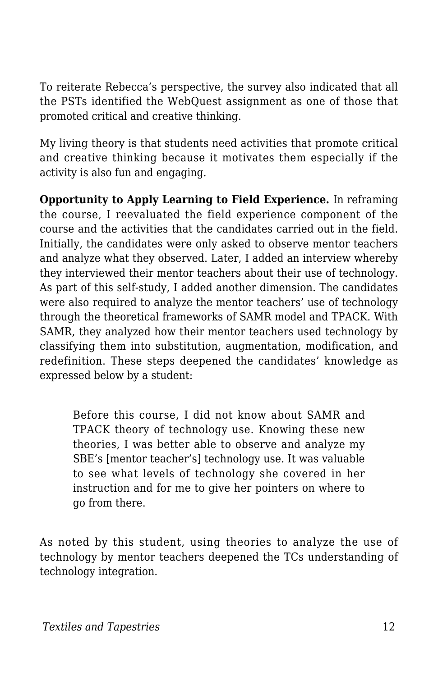To reiterate Rebecca's perspective, the survey also indicated that all the PSTs identified the WebQuest assignment as one of those that promoted critical and creative thinking.

My living theory is that students need activities that promote critical and creative thinking because it motivates them especially if the activity is also fun and engaging.

**Opportunity to Apply Learning to Field Experience.** In reframing the course, I reevaluated the field experience component of the course and the activities that the candidates carried out in the field. Initially, the candidates were only asked to observe mentor teachers and analyze what they observed. Later, I added an interview whereby they interviewed their mentor teachers about their use of technology. As part of this self-study, I added another dimension. The candidates were also required to analyze the mentor teachers' use of technology through the theoretical frameworks of SAMR model and TPACK. With SAMR, they analyzed how their mentor teachers used technology by classifying them into substitution, augmentation, modification, and redefinition. These steps deepened the candidates' knowledge as expressed below by a student:

Before this course, I did not know about SAMR and TPACK theory of technology use. Knowing these new theories, I was better able to observe and analyze my SBE's [mentor teacher's] technology use. It was valuable to see what levels of technology she covered in her instruction and for me to give her pointers on where to go from there.

As noted by this student, using theories to analyze the use of technology by mentor teachers deepened the TCs understanding of technology integration.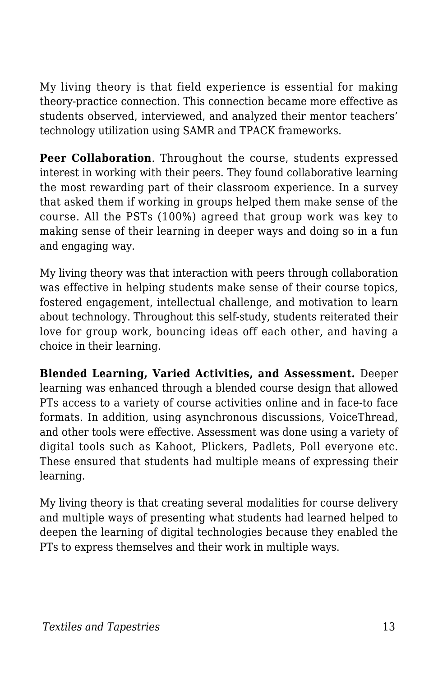My living theory is that field experience is essential for making theory-practice connection. This connection became more effective as students observed, interviewed, and analyzed their mentor teachers' technology utilization using SAMR and TPACK frameworks.

**Peer Collaboration**. Throughout the course, students expressed interest in working with their peers. They found collaborative learning the most rewarding part of their classroom experience. In a survey that asked them if working in groups helped them make sense of the course. All the PSTs (100%) agreed that group work was key to making sense of their learning in deeper ways and doing so in a fun and engaging way.

My living theory was that interaction with peers through collaboration was effective in helping students make sense of their course topics, fostered engagement, intellectual challenge, and motivation to learn about technology. Throughout this self-study, students reiterated their love for group work, bouncing ideas off each other, and having a choice in their learning.

**Blended Learning, Varied Activities, and Assessment.** Deeper learning was enhanced through a blended course design that allowed PTs access to a variety of course activities online and in face-to face formats. In addition, using asynchronous discussions, VoiceThread, and other tools were effective. Assessment was done using a variety of digital tools such as Kahoot, Plickers, Padlets, Poll everyone etc. These ensured that students had multiple means of expressing their learning.

My living theory is that creating several modalities for course delivery and multiple ways of presenting what students had learned helped to deepen the learning of digital technologies because they enabled the PTs to express themselves and their work in multiple ways.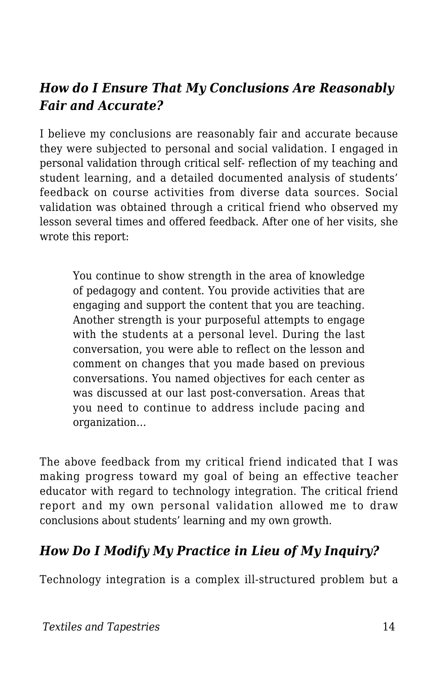#### *How do I Ensure That My Conclusions Are Reasonably Fair and Accurate?*

I believe my conclusions are reasonably fair and accurate because they were subjected to personal and social validation. I engaged in personal validation through critical self- reflection of my teaching and student learning, and a detailed documented analysis of students' feedback on course activities from diverse data sources. Social validation was obtained through a critical friend who observed my lesson several times and offered feedback. After one of her visits, she wrote this report:

You continue to show strength in the area of knowledge of pedagogy and content. You provide activities that are engaging and support the content that you are teaching. Another strength is your purposeful attempts to engage with the students at a personal level. During the last conversation, you were able to reflect on the lesson and comment on changes that you made based on previous conversations. You named objectives for each center as was discussed at our last post-conversation. Areas that you need to continue to address include pacing and organization…

The above feedback from my critical friend indicated that I was making progress toward my goal of being an effective teacher educator with regard to technology integration. The critical friend report and my own personal validation allowed me to draw conclusions about students' learning and my own growth.

#### *How Do I Modify My Practice in Lieu of My Inquiry?*

Technology integration is a complex ill-structured problem but a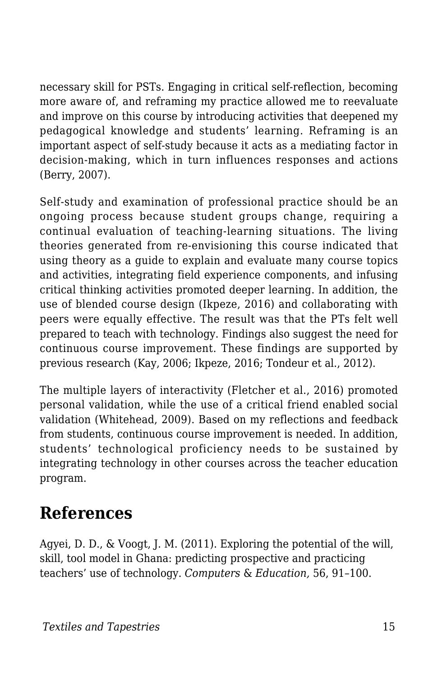necessary skill for PSTs. Engaging in critical self-reflection, becoming more aware of, and reframing my practice allowed me to reevaluate and improve on this course by introducing activities that deepened my pedagogical knowledge and students' learning. Reframing is an important aspect of self-study because it acts as a mediating factor in decision-making, which in turn influences responses and actions (Berry, 2007).

Self-study and examination of professional practice should be an ongoing process because student groups change, requiring a continual evaluation of teaching-learning situations. The living theories generated from re-envisioning this course indicated that using theory as a guide to explain and evaluate many course topics and activities, integrating field experience components, and infusing critical thinking activities promoted deeper learning. In addition, the use of blended course design (Ikpeze, 2016) and collaborating with peers were equally effective. The result was that the PTs felt well prepared to teach with technology. Findings also suggest the need for continuous course improvement. These findings are supported by previous research (Kay, 2006; Ikpeze, 2016; Tondeur et al., 2012).

The multiple layers of interactivity (Fletcher et al., 2016) promoted personal validation, while the use of a critical friend enabled social validation (Whitehead, 2009). Based on my reflections and feedback from students, continuous course improvement is needed. In addition, students' technological proficiency needs to be sustained by integrating technology in other courses across the teacher education program.

### **References**

Agyei, D. D., & Voogt, J. M. (2011). Exploring the potential of the will, skill, tool model in Ghana: predicting prospective and practicing teachers' use of technology. *Computers* & *Education,* 56, 91–100.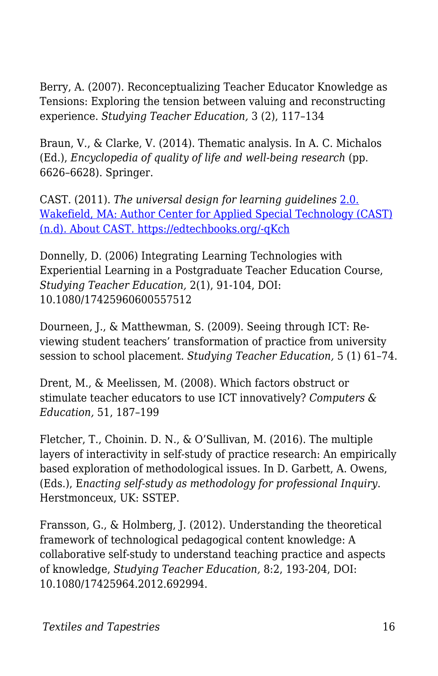Berry, A. (2007). Reconceptualizing Teacher Educator Knowledge as Tensions: Exploring the tension between valuing and reconstructing experience. *Studying Teacher Education,* 3 (2), 117–134

Braun, V., & Clarke, V. (2014). Thematic analysis. In A. C. Michalos (Ed.), *Encyclopedia of quality of life and well-being research* (pp. 6626–6628). Springer.

CAST. (2011). *The universal design for learning guidelines* [2.0.](http://www.cast.org/about/index.html) [Wakefield, MA: Author Center for Applied Special Technology \(CAST\)](http://www.cast.org/about/index.html) [\(n.d\). About CAST. https://edtechbooks.org/-qKch](http://www.cast.org/about/index.html)

Donnelly, D. (2006) Integrating Learning Technologies with Experiential Learning in a Postgraduate Teacher Education Course, *Studying Teacher Education,* 2(1), 91-104, DOI: 10.1080/17425960600557512

Dourneen, J., & Matthewman, S. (2009). Seeing through ICT: Reviewing student teachers' transformation of practice from university session to school placement. *Studying Teacher Education,* 5 (1) 61–74.

Drent, M., & Meelissen, M. (2008). Which factors obstruct or stimulate teacher educators to use ICT innovatively? *Computers & Education,* 51, 187–199

Fletcher, T., Choinin. D. N., & O'Sullivan, M. (2016). The multiple layers of interactivity in self-study of practice research: An empirically based exploration of methodological issues. In D. Garbett, A. Owens, (Eds.), E*nacting self-study as methodology for professional Inquiry*. Herstmonceux, UK: SSTEP.

Fransson, G., & Holmberg, J. (2012). Understanding the theoretical framework of technological pedagogical content knowledge: A collaborative self-study to understand teaching practice and aspects of knowledge, *Studying Teacher Education,* 8:2, 193-204, DOI: 10.1080/17425964.2012.692994.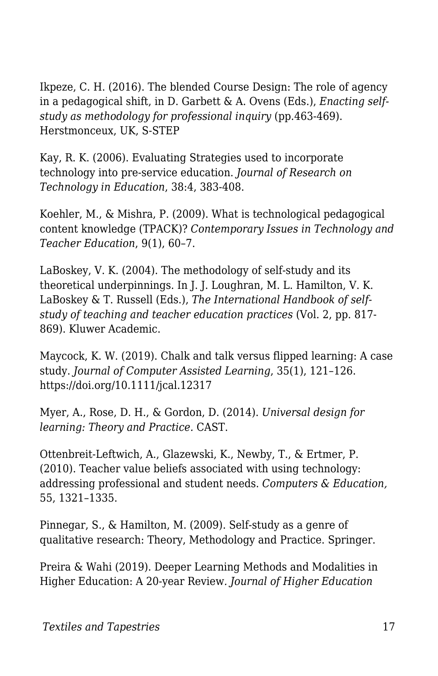Ikpeze, C. H. (2016). The blended Course Design: The role of agency in a pedagogical shift, in D. Garbett & A. Ovens (Eds.), *Enacting selfstudy as methodology for professional inquiry* (pp.463-469). Herstmonceux, UK, S-STEP

Kay, R. K. (2006). Evaluating Strategies used to incorporate technology into pre-service education. *Journal of Research on Technology in Education*, 38:4, 383-408.

Koehler, M., & Mishra, P. (2009). What is technological pedagogical content knowledge (TPACK)? *Contemporary Issues in Technology and Teacher Education*, 9(1), 60–7.

LaBoskey, V. K. (2004). The methodology of self-study and its theoretical underpinnings. In J. J. Loughran, M. L. Hamilton, V. K. LaBoskey & T. Russell (Eds.), *The International Handbook of selfstudy of teaching and teacher education practices* (Vol. 2, pp. 817- 869). Kluwer Academic.

Maycock, K. W. (2019). Chalk and talk versus flipped learning: A case study. *Journal of Computer Assisted Learning*, 35(1), 121–126. https://doi.org/10.1111/jcal.12317

Myer, A., Rose, D. H., & Gordon, D. (2014). *Universal design for learning: Theory and Practice.* CAST.

Ottenbreit-Leftwich, A., Glazewski, K., Newby, T., & Ertmer, P. (2010). Teacher value beliefs associated with using technology: addressing professional and student needs. *Computers & Education,* 55, 1321–1335.

Pinnegar, S., & Hamilton, M. (2009). Self-study as a genre of qualitative research: Theory, Methodology and Practice. Springer.

Preira & Wahi (2019). Deeper Learning Methods and Modalities in Higher Education: A 20-year Review*. Journal of Higher Education*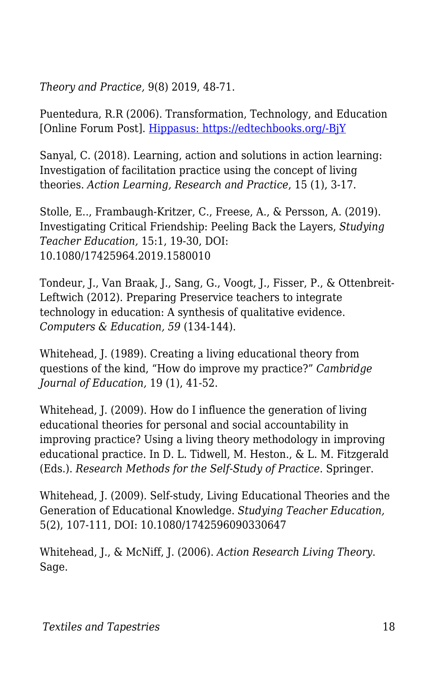*Theory and Practice,* 9(8) 2019, 48-71.

Puentedura, R.R (2006). Transformation, Technology, and Education [Online Forum Post]. [Hippasus: https://edtechbooks.org/-BjY](http://hippasus.com/resources/tte/)

Sanyal, C. (2018). Learning, action and solutions in action learning: Investigation of facilitation practice using the concept of living theories. *Action Learning, Research and Practice*, 15 (1), 3-17.

Stolle, E.., Frambaugh-Kritzer, C., Freese, A., & Persson, A. (2019). Investigating Critical Friendship: Peeling Back the Layers, *Studying Teacher Education,* 15:1, 19-30, DOI: 10.1080/17425964.2019.1580010

Tondeur, J., Van Braak, J., Sang, G., Voogt, J., Fisser, P., & Ottenbreit-Leftwich (2012). Preparing Preservice teachers to integrate technology in education: A synthesis of qualitative evidence. *Computers & Education, 59* (134-144).

Whitehead, J. (1989). Creating a living educational theory from questions of the kind, "How do improve my practice?" *Cambridge Journal of Education,* 19 (1), 41-52.

Whitehead, J. (2009). How do I influence the generation of living educational theories for personal and social accountability in improving practice? Using a living theory methodology in improving educational practice. In D. L. Tidwell, M. Heston., & L. M. Fitzgerald (Eds.). *Research Methods for the Self-Study of Practice*. Springer.

Whitehead, J. (2009). Self-study, Living Educational Theories and the Generation of Educational Knowledge. *Studying Teacher Education,* 5(2), 107-111, DOI: 10.1080/1742596090330647

Whitehead, J., & McNiff, J. (2006). *Action Research Living Theory*. Sage.